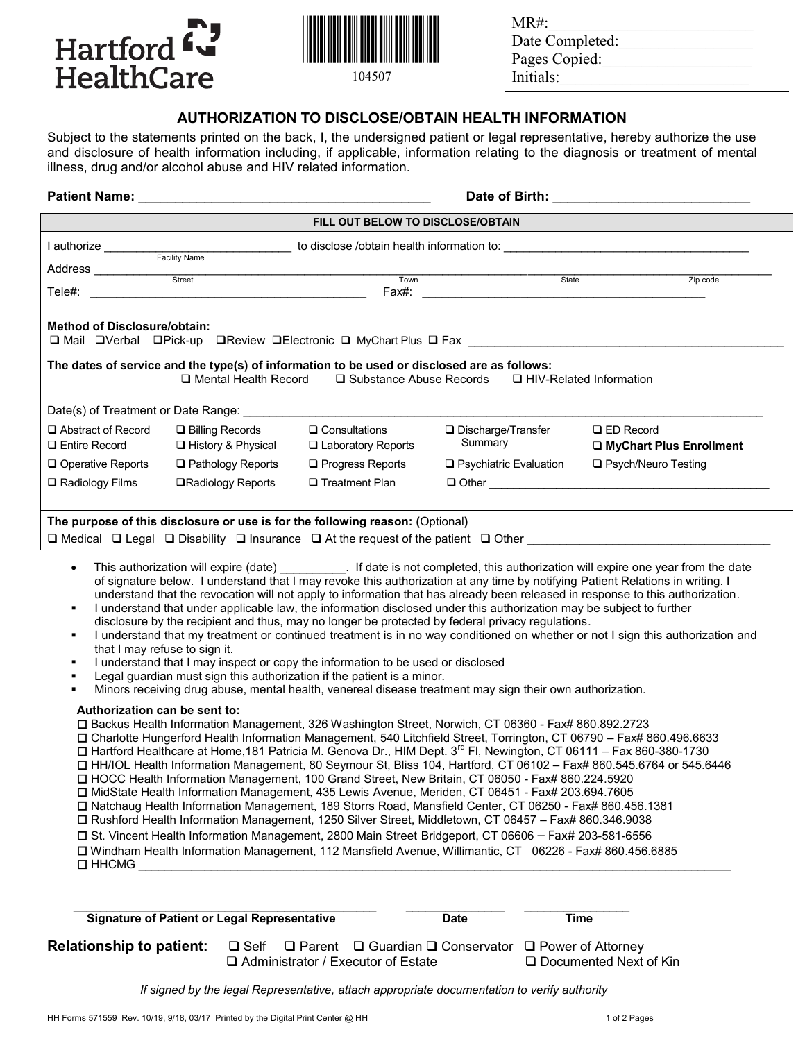



Date Completed: Pages Copied: Initials:

 $MR#$ :

## **AUTHORIZATION TO DISCLOSE/OBTAIN HEALTH INFORMATION**

Subject to the statements printed on the back, I, the undersigned patient or legal representative, hereby authorize the use and disclosure of health information including, if applicable, information relating to the diagnosis or treatment of mental illness, drug and/or alcohol abuse and HIV related information.

| <b>Patient Name:</b>                                                                                 | Date of Birth:                                                    |                                                                                                                                                                                                                                            |                                                                                                                                                                                                                                                                                                                                                                                                                                                                                                                                                                                                                                                                                                                                                                                                |                                                                                                                                                                                                                                                                                                                                                                                                                                                                                                                                           |
|------------------------------------------------------------------------------------------------------|-------------------------------------------------------------------|--------------------------------------------------------------------------------------------------------------------------------------------------------------------------------------------------------------------------------------------|------------------------------------------------------------------------------------------------------------------------------------------------------------------------------------------------------------------------------------------------------------------------------------------------------------------------------------------------------------------------------------------------------------------------------------------------------------------------------------------------------------------------------------------------------------------------------------------------------------------------------------------------------------------------------------------------------------------------------------------------------------------------------------------------|-------------------------------------------------------------------------------------------------------------------------------------------------------------------------------------------------------------------------------------------------------------------------------------------------------------------------------------------------------------------------------------------------------------------------------------------------------------------------------------------------------------------------------------------|
|                                                                                                      |                                                                   | FILL OUT BELOW TO DISCLOSE/OBTAIN                                                                                                                                                                                                          |                                                                                                                                                                                                                                                                                                                                                                                                                                                                                                                                                                                                                                                                                                                                                                                                |                                                                                                                                                                                                                                                                                                                                                                                                                                                                                                                                           |
|                                                                                                      |                                                                   |                                                                                                                                                                                                                                            |                                                                                                                                                                                                                                                                                                                                                                                                                                                                                                                                                                                                                                                                                                                                                                                                |                                                                                                                                                                                                                                                                                                                                                                                                                                                                                                                                           |
|                                                                                                      |                                                                   |                                                                                                                                                                                                                                            |                                                                                                                                                                                                                                                                                                                                                                                                                                                                                                                                                                                                                                                                                                                                                                                                |                                                                                                                                                                                                                                                                                                                                                                                                                                                                                                                                           |
| Tele#:                                                                                               | Street<br><u> 1980 - Johann Barnett, fransk politik (d. 1980)</u> | Town<br>Fax#:                                                                                                                                                                                                                              | State                                                                                                                                                                                                                                                                                                                                                                                                                                                                                                                                                                                                                                                                                                                                                                                          | Zip code                                                                                                                                                                                                                                                                                                                                                                                                                                                                                                                                  |
| <b>Method of Disclosure/obtain:</b>                                                                  |                                                                   |                                                                                                                                                                                                                                            |                                                                                                                                                                                                                                                                                                                                                                                                                                                                                                                                                                                                                                                                                                                                                                                                | □ Mail □Verbal □Pick-up □Review □Electronic □ MyChart Plus □ Fax __________________________________                                                                                                                                                                                                                                                                                                                                                                                                                                       |
|                                                                                                      | □ Mental Health Record                                            | The dates of service and the type(s) of information to be used or disclosed are as follows:<br>□ Substance Abuse Records                                                                                                                   |                                                                                                                                                                                                                                                                                                                                                                                                                                                                                                                                                                                                                                                                                                                                                                                                | □ HIV-Related Information                                                                                                                                                                                                                                                                                                                                                                                                                                                                                                                 |
|                                                                                                      |                                                                   |                                                                                                                                                                                                                                            |                                                                                                                                                                                                                                                                                                                                                                                                                                                                                                                                                                                                                                                                                                                                                                                                |                                                                                                                                                                                                                                                                                                                                                                                                                                                                                                                                           |
| $\Box$ Abstract of Record<br>$\Box$ Entire Record                                                    | $\Box$ Billing Records<br>□ History & Physical                    | $\square$ Consultations<br>□ Laboratory Reports                                                                                                                                                                                            | $\Box$ Discharge/Transfer<br>Summary                                                                                                                                                                                                                                                                                                                                                                                                                                                                                                                                                                                                                                                                                                                                                           | $\Box$ ED Record<br>□ MyChart Plus Enrollment                                                                                                                                                                                                                                                                                                                                                                                                                                                                                             |
| $\Box$ Operative Reports                                                                             | $\Box$ Pathology Reports                                          | $\Box$ Progress Reports                                                                                                                                                                                                                    | □ Psychiatric Evaluation                                                                                                                                                                                                                                                                                                                                                                                                                                                                                                                                                                                                                                                                                                                                                                       | □ Psych/Neuro Testing                                                                                                                                                                                                                                                                                                                                                                                                                                                                                                                     |
| $\Box$ Radiology Films                                                                               | <b>□Radiology Reports</b>                                         | $\Box$ Treatment Plan                                                                                                                                                                                                                      |                                                                                                                                                                                                                                                                                                                                                                                                                                                                                                                                                                                                                                                                                                                                                                                                |                                                                                                                                                                                                                                                                                                                                                                                                                                                                                                                                           |
| $\bullet$<br>٠<br>٠<br>that I may refuse to sign it.<br>٠<br>٠<br>٠<br>Authorization can be sent to: |                                                                   | The purpose of this disclosure or use is for the following reason: (Optional)<br>I understand that I may inspect or copy the information to be used or disclosed<br>Legal guardian must sign this authorization if the patient is a minor. | I understand that under applicable law, the information disclosed under this authorization may be subject to further<br>disclosure by the recipient and thus, may no longer be protected by federal privacy regulations.<br>Minors receiving drug abuse, mental health, venereal disease treatment may sign their own authorization.<br>□ Backus Health Information Management, 326 Washington Street, Norwich, CT 06360 - Fax# 860.892.2723<br>□ Charlotte Hungerford Health Information Management, 540 Litchfield Street, Torrington, CT 06790 - Fax# 860.496.6633                                                                                                                                                                                                                          | This authorization will expire (date) ____________. If date is not completed, this authorization will expire one year from the date<br>of signature below. I understand that I may revoke this authorization at any time by notifying Patient Relations in writing. I<br>understand that the revocation will not apply to information that has already been released in response to this authorization.<br>I understand that my treatment or continued treatment is in no way conditioned on whether or not I sign this authorization and |
| $\square$ HHCMG                                                                                      | <b>Signature of Patient or Legal Representative</b>               |                                                                                                                                                                                                                                            | □ Hartford Healthcare at Home, 181 Patricia M. Genova Dr., HIM Dept. 3 <sup>rd</sup> FI, Newington, CT 06111 – Fax 860-380-1730<br>□ HOCC Health Information Management, 100 Grand Street, New Britain, CT 06050 - Fax# 860.224.5920<br>□ MidState Health Information Management, 435 Lewis Avenue, Meriden, CT 06451 - Fax# 203.694.7605<br>□ Natchaug Health Information Management, 189 Storrs Road, Mansfield Center, CT 06250 - Fax# 860.456.1381<br>□ Rushford Health Information Management, 1250 Silver Street, Middletown, CT 06457 - Fax# 860.346.9038<br>□ St. Vincent Health Information Management, 2800 Main Street Bridgeport, CT 06606 - Fax# 203-581-6556<br>□ Windham Health Information Management, 112 Mansfield Avenue, Willimantic, CT 06226 - Fax# 860.456.6885<br>Date | □ HH/IOL Health Information Management, 80 Seymour St, Bliss 104, Hartford, CT 06102 - Fax# 860.545.6764 or 545.6446<br><b>Time</b>                                                                                                                                                                                                                                                                                                                                                                                                       |
| <b>Relationship to patient:</b>                                                                      | $\square$ Self                                                    |                                                                                                                                                                                                                                            | $\Box$ Parent $\Box$ Guardian $\Box$ Conservator $\Box$ Power of Attorney                                                                                                                                                                                                                                                                                                                                                                                                                                                                                                                                                                                                                                                                                                                      |                                                                                                                                                                                                                                                                                                                                                                                                                                                                                                                                           |
|                                                                                                      |                                                                   | $\Box$ Administrator / Executor of Estate                                                                                                                                                                                                  |                                                                                                                                                                                                                                                                                                                                                                                                                                                                                                                                                                                                                                                                                                                                                                                                | $\Box$ Documented Next of Kin                                                                                                                                                                                                                                                                                                                                                                                                                                                                                                             |

 *If signed by the legal Representative, attach appropriate documentation to verify authority*